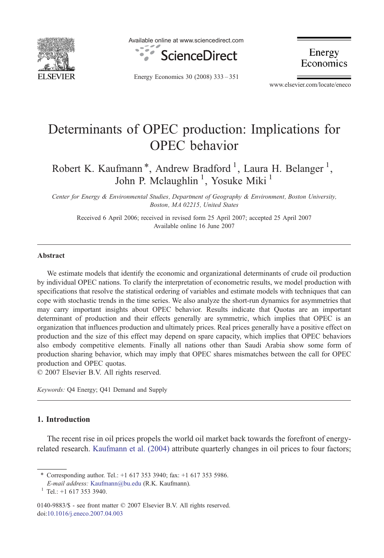

Available online at www.sciencedirect.com



Energy Economics

Energy Economics 30 (2008) 333–351

www.elsevier.com/locate/eneco

## Determinants of OPEC production: Implications for OPEC behavior

Robert K. Kaufmann<sup>\*</sup>, Andrew Bradford<sup>1</sup>, Laura H. Belanger<sup>1</sup>, John P. Mclaughlin<sup>1</sup>, Yosuke Miki<sup>1</sup>

Center for Energy & Environmental Studies, Department of Geography & Environment, Boston University, Boston, MA 02215, United States

Received 6 April 2006; received in revised form 25 April 2007; accepted 25 April 2007 Available online 16 June 2007

## Abstract

We estimate models that identify the economic and organizational determinants of crude oil production by individual OPEC nations. To clarify the interpretation of econometric results, we model production with specifications that resolve the statistical ordering of variables and estimate models with techniques that can cope with stochastic trends in the time series. We also analyze the short-run dynamics for asymmetries that may carry important insights about OPEC behavior. Results indicate that Quotas are an important determinant of production and their effects generally are symmetric, which implies that OPEC is an organization that influences production and ultimately prices. Real prices generally have a positive effect on production and the size of this effect may depend on spare capacity, which implies that OPEC behaviors also embody competitive elements. Finally all nations other than Saudi Arabia show some form of production sharing behavior, which may imply that OPEC shares mismatches between the call for OPEC production and OPEC quotas.

© 2007 Elsevier B.V. All rights reserved.

Keywords: Q4 Energy; Q41 Demand and Supply

## 1. Introduction

The recent rise in oil prices propels the world oil market back towards the forefront of energyrelated research. [Kaufmann et al. \(2004\)](#page--1-0) attribute quarterly changes in oil prices to four factors;

⁎ Corresponding author. Tel.: +1 617 353 3940; fax: +1 617 353 5986. E-mail address: [Kaufmann@bu.edu](mailto:Kaufmann@bu.edu) (R.K. Kaufmann).<br>Tel.: +1 617 353 3940.

0140-9883/\$ - see front matter © 2007 Elsevier B.V. All rights reserved. doi:[10.1016/j.eneco.2007.04.003](http://dx.doi.org/10.1016/j.eneco.2007.04.003)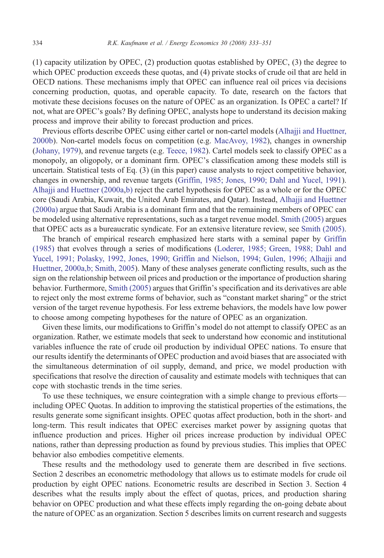(1) capacity utilization by OPEC, (2) production quotas established by OPEC, (3) the degree to which OPEC production exceeds these quotas, and (4) private stocks of crude oil that are held in OECD nations. These mechanisms imply that OPEC can influence real oil prices via decisions concerning production, quotas, and operable capacity. To date, research on the factors that motivate these decisions focuses on the nature of OPEC as an organization. Is OPEC a cartel? If not, what are OPEC's goals? By defining OPEC, analysts hope to understand its decision making process and improve their ability to forecast production and prices.

Previous efforts describe OPEC using either cartel or non-cartel models [\(Alhajji and Huettner,](#page--1-0) [2000b\)](#page--1-0). Non-cartel models focus on competition (e.g. [MacAvoy, 1982](#page--1-0)), changes in ownership [\(Johany, 1979\)](#page--1-0), and revenue targets (e.g. [Teece, 1982\)](#page--1-0). Cartel models seek to classify OPEC as a monopoly, an oligopoly, or a dominant firm. OPEC's classification among these models still is uncertain. Statistical tests of Eq. (3) (in this paper) cause analysts to reject competitive behavior, changes in ownership, and revenue targets ([Griffin, 1985; Jones, 1990; Dahl and Yucel, 1991\)](#page--1-0). [Alhajji and Huettner \(2000a,b\)](#page--1-0) reject the cartel hypothesis for OPEC as a whole or for the OPEC core (Saudi Arabia, Kuwait, the United Arab Emirates, and Qatar). Instead, [Alhajji and Huettner](#page--1-0) [\(2000a\)](#page--1-0) argue that Saudi Arabia is a dominant firm and that the remaining members of OPEC can be modeled using alternative representations, such as a target revenue model. [Smith \(2005\)](#page--1-0) argues that OPEC acts as a bureaucratic syndicate. For an extensive literature review, see [Smith \(2005\).](#page--1-0)

The branch of empirical research emphasized here starts with a seminal paper by [Griffin](#page--1-0) [\(1985\)](#page--1-0) that evolves through a series of modifications ([Loderer, 1985; Green, 1988; Dahl and](#page--1-0) [Yucel, 1991; Polasky, 1992, Jones, 1990; Griffin and Nielson, 1994; Gulen, 1996; Alhajji and](#page--1-0) [Huettner, 2000a,b; Smith, 2005](#page--1-0)). Many of these analyses generate conflicting results, such as the sign on the relationship between oil prices and production or the importance of production sharing behavior. Furthermore, [Smith \(2005\)](#page--1-0) argues that Griffin's specification and its derivatives are able to reject only the most extreme forms of behavior, such as "constant market sharing" or the strict version of the target revenue hypothesis. For less extreme behaviors, the models have low power to choose among competing hypotheses for the nature of OPEC as an organization.

Given these limits, our modifications to Griffin's model do not attempt to classify OPEC as an organization. Rather, we estimate models that seek to understand how economic and institutional variables influence the rate of crude oil production by individual OPEC nations. To ensure that our results identify the determinants of OPEC production and avoid biases that are associated with the simultaneous determination of oil supply, demand, and price, we model production with specifications that resolve the direction of causality and estimate models with techniques that can cope with stochastic trends in the time series.

To use these techniques, we ensure cointegration with a simple change to previous efforts including OPEC Quotas. In addition to improving the statistical properties of the estimations, the results generate some significant insights. OPEC quotas affect production, both in the short- and long-term. This result indicates that OPEC exercises market power by assigning quotas that influence production and prices. Higher oil prices increase production by individual OPEC nations, rather than depressing production as found by previous studies. This implies that OPEC behavior also embodies competitive elements.

These results and the methodology used to generate them are described in five sections. Section 2 describes an econometric methodology that allows us to estimate models for crude oil production by eight OPEC nations. Econometric results are described in Section 3. Section 4 describes what the results imply about the effect of quotas, prices, and production sharing behavior on OPEC production and what these effects imply regarding the on-going debate about the nature of OPEC as an organization. Section 5 describes limits on current research and suggests